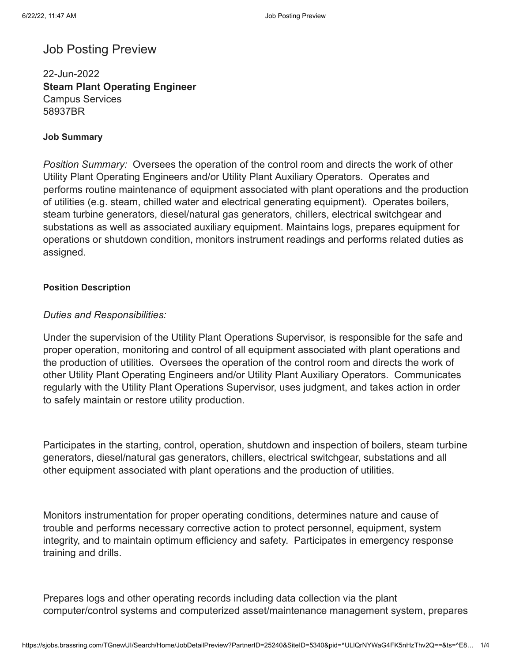# Job Posting Preview

22-Jun-2022 **Steam Plant Operating Engineer** Campus Services 58937BR

#### **Job Summary**

*Position Summary:* Oversees the operation of the control room and directs the work of other Utility Plant Operating Engineers and/or Utility Plant Auxiliary Operators. Operates and performs routine maintenance of equipment associated with plant operations and the production of utilities (e.g. steam, chilled water and electrical generating equipment). Operates boilers, steam turbine generators, diesel/natural gas generators, chillers, electrical switchgear and substations as well as associated auxiliary equipment. Maintains logs, prepares equipment for operations or shutdown condition, monitors instrument readings and performs related duties as assigned.

# **Position Description**

# *Duties and Responsibilities:*

Under the supervision of the Utility Plant Operations Supervisor, is responsible for the safe and proper operation, monitoring and control of all equipment associated with plant operations and the production of utilities. Oversees the operation of the control room and directs the work of other Utility Plant Operating Engineers and/or Utility Plant Auxiliary Operators. Communicates regularly with the Utility Plant Operations Supervisor, uses judgment, and takes action in order to safely maintain or restore utility production.

Participates in the starting, control, operation, shutdown and inspection of boilers, steam turbine generators, diesel/natural gas generators, chillers, electrical switchgear, substations and all other equipment associated with plant operations and the production of utilities.

Monitors instrumentation for proper operating conditions, determines nature and cause of trouble and performs necessary corrective action to protect personnel, equipment, system integrity, and to maintain optimum efficiency and safety. Participates in emergency response training and drills.

Prepares logs and other operating records including data collection via the plant computer/control systems and computerized asset/maintenance management system, prepares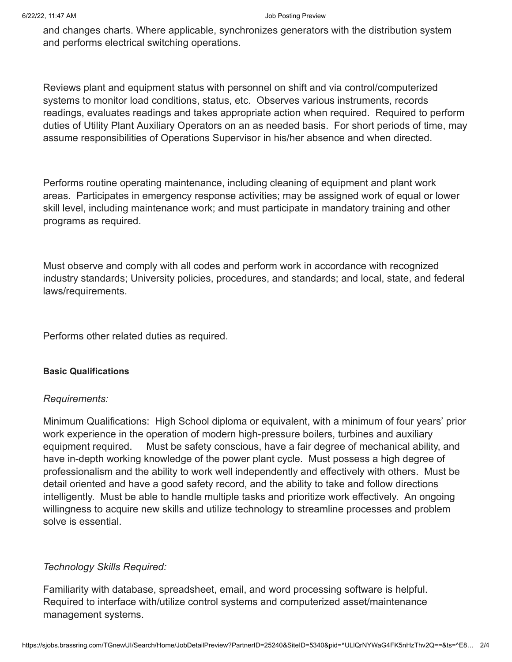#### 6/22/22, 11:47 AM Job Posting Preview

and changes charts. Where applicable, synchronizes generators with the distribution system and performs electrical switching operations.

Reviews plant and equipment status with personnel on shift and via control/computerized systems to monitor load conditions, status, etc. Observes various instruments, records readings, evaluates readings and takes appropriate action when required. Required to perform duties of Utility Plant Auxiliary Operators on an as needed basis. For short periods of time, may assume responsibilities of Operations Supervisor in his/her absence and when directed.

Performs routine operating maintenance, including cleaning of equipment and plant work areas. Participates in emergency response activities; may be assigned work of equal or lower skill level, including maintenance work; and must participate in mandatory training and other programs as required.

Must observe and comply with all codes and perform work in accordance with recognized industry standards; University policies, procedures, and standards; and local, state, and federal laws/requirements.

Performs other related duties as required.

#### **Basic Qualifications**

#### *Requirements:*

Minimum Qualifications: High School diploma or equivalent, with a minimum of four years' prior work experience in the operation of modern high-pressure boilers, turbines and auxiliary equipment required. Must be safety conscious, have a fair degree of mechanical ability, and have in-depth working knowledge of the power plant cycle. Must possess a high degree of professionalism and the ability to work well independently and effectively with others. Must be detail oriented and have a good safety record, and the ability to take and follow directions intelligently. Must be able to handle multiple tasks and prioritize work effectively. An ongoing willingness to acquire new skills and utilize technology to streamline processes and problem solve is essential.

# *Technology Skills Required:*

Familiarity with database, spreadsheet, email, and word processing software is helpful. Required to interface with/utilize control systems and computerized asset/maintenance management systems.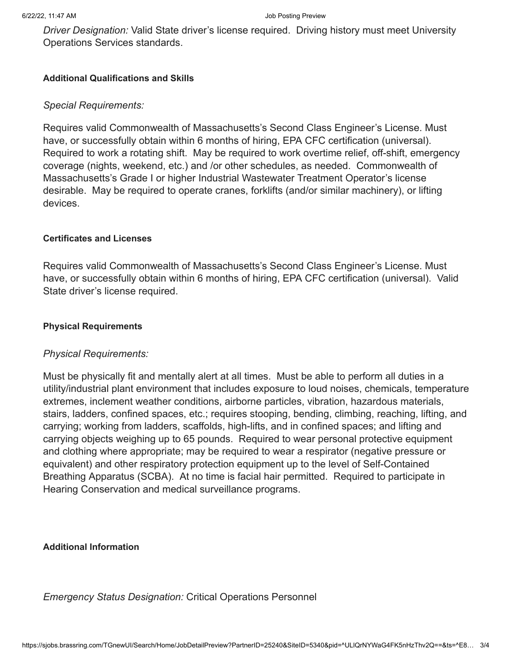*Driver Designation:* Valid State driver's license required. Driving history must meet University Operations Services standards.

#### **Additional Qualifications and Skills**

# *Special Requirements:*

Requires valid Commonwealth of Massachusetts's Second Class Engineer's License. Must have, or successfully obtain within 6 months of hiring, EPA CFC certification (universal). Required to work a rotating shift. May be required to work overtime relief, off-shift, emergency coverage (nights, weekend, etc.) and /or other schedules, as needed. Commonwealth of Massachusetts's Grade I or higher Industrial Wastewater Treatment Operator's license desirable. May be required to operate cranes, forklifts (and/or similar machinery), or lifting devices.

#### **Certificates and Licenses**

Requires valid Commonwealth of Massachusetts's Second Class Engineer's License. Must have, or successfully obtain within 6 months of hiring, EPA CFC certification (universal). Valid State driver's license required.

#### **Physical Requirements**

# *Physical Requirements:*

Must be physically fit and mentally alert at all times. Must be able to perform all duties in a utility/industrial plant environment that includes exposure to loud noises, chemicals, temperature extremes, inclement weather conditions, airborne particles, vibration, hazardous materials, stairs, ladders, confined spaces, etc.; requires stooping, bending, climbing, reaching, lifting, and carrying; working from ladders, scaffolds, high-lifts, and in confined spaces; and lifting and carrying objects weighing up to 65 pounds. Required to wear personal protective equipment and clothing where appropriate; may be required to wear a respirator (negative pressure or equivalent) and other respiratory protection equipment up to the level of Self-Contained Breathing Apparatus (SCBA). At no time is facial hair permitted. Required to participate in Hearing Conservation and medical surveillance programs.

**Additional Information**

*Emergency Status Designation:* Critical Operations Personnel